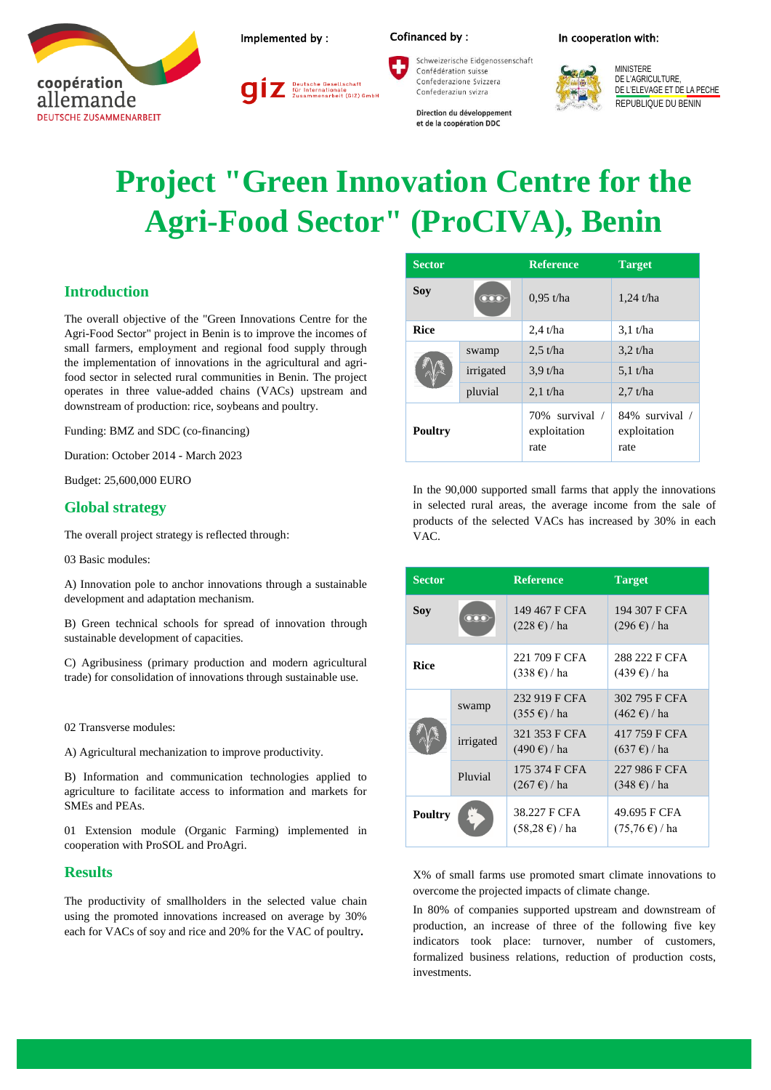



Deutsche Gesellschaft<br>für Internationale<br>Zusammenarbeit (GIZ) GmbH



Schweizerische Eidgenossenschaft Confédération suisse Confederazione Svizzera Confederaziun svizra

Direction du développement et de la coopération DDC





# **Project "Green Innovation Centre for the Agri-Food Sector" (ProCIVA), Benin**

## **Introduction**

The overall objective of the "Green Innovations Centre for the Agri-Food Sector" project in Benin is to improve the incomes of small farmers, employment and regional food supply through the implementation of innovations in the agricultural and agrifood sector in selected rural communities in Benin. The project operates in three value-added chains (VACs) upstream and downstream of production: rice, soybeans and poultry.

Funding: BMZ and SDC (co-financing)

Duration: October 2014 - March 2023

Budget: 25,600,000 EURO

#### **Global strategy**

The overall project strategy is reflected through:

03 Basic modules:

A) Innovation pole to anchor innovations through a sustainable development and adaptation mechanism.

B) Green technical schools for spread of innovation through sustainable development of capacities.

C) Agribusiness (primary production and modern agricultural trade) for consolidation of innovations through sustainable use.

02 Transverse modules:

A) Agricultural mechanization to improve productivity.

B) Information and communication technologies applied to agriculture to facilitate access to information and markets for SMEs and PEAs.

01 Extension module (Organic Farming) implemented in cooperation with ProSOL and ProAgri.

#### **Results**

The productivity of smallholders in the selected value chain using the promoted innovations increased on average by 30% each for VACs of soy and rice and 20% for the VAC of poultry**.**

| <b>Sector</b> |                           | <b>Reference</b>                       | <b>Target</b>                          |
|---------------|---------------------------|----------------------------------------|----------------------------------------|
| Sov           | $\overline{\mathrm{OOO}}$ | $0.95$ t/ha                            | 1,24 t/ha                              |
| <b>Rice</b>   |                           | $2.4$ t/ha                             | $3.1$ t/ha                             |
|               | swamp                     | $2.5$ t/ha                             | $3.2$ t/ha                             |
|               | irrigated                 | $3.9$ t/ha                             | $5.1$ t/ha                             |
|               | pluvial                   | $2.1$ t/ha                             | $2.7$ t/ha                             |
| Poultry       |                           | 70% survival /<br>exploitation<br>rate | 84% survival /<br>exploitation<br>rate |

In the 90,000 supported small farms that apply the innovations in selected rural areas, the average income from the sale of products of the selected VACs has increased by 30% in each VAC.

| <b>Sector</b>  |           | <b>Reference</b>                                | <b>Target</b>                              |
|----------------|-----------|-------------------------------------------------|--------------------------------------------|
| Soy            | ന്ന       | 149 467 F CFA<br>$(228 \text{ } \epsilon)$ / ha | 194 307 F CFA<br>$(296 \text{ } \in)$ / ha |
| <b>Rice</b>    |           | 221 709 F CFA<br>$(338 \text{ } \epsilon)$ / ha | 288 222 F CFA<br>(439) ∈) / ha             |
|                | swamp     | 232 919 F CFA<br>$(355 \text{ } \in)$ / ha      | 302 795 F CFA<br>$(462 \text{ } \in)$ / ha |
|                | irrigated | 321 353 F CFA<br>$(490 \text{ } \in)$ / ha      | 417 759 F CFA<br>$(637 \text{ } \in)$ / ha |
|                | Pluvial   | 175 374 F CFA<br>$(267 \text{ } \in)$ / ha      | 227 986 F CFA<br>$(348 \text{ } \in)$ / ha |
| <b>Poultry</b> |           | 38.227 F CFA<br>$(58,28 \text{ } \in)$ / ha     | 49.695 F CFA<br>$(75,76 \t∈) / ha$         |

X% of small farms use promoted smart climate innovations to overcome the projected impacts of climate change.

In 80% of companies supported upstream and downstream of production, an increase of three of the following five key indicators took place: turnover, number of customers, formalized business relations, reduction of production costs, investments.